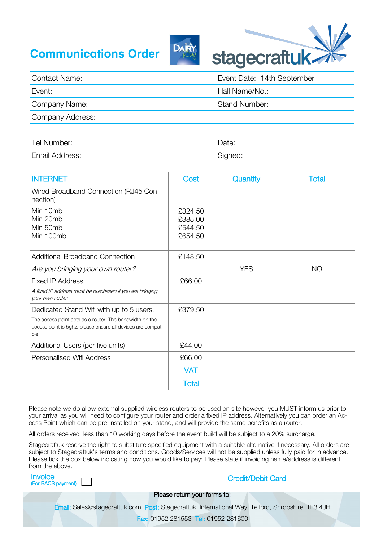## **Communications Order**





| <b>Contact Name:</b> | Event Date: 14th September |
|----------------------|----------------------------|
| Event:               | Hall Name/No.:             |
| Company Name:        | <b>Stand Number:</b>       |
| Company Address:     |                            |
|                      |                            |
| Tel Number:          | Date:                      |
| Email Address:       | Signed:                    |

| <b>INTERNET</b>                                                                                                                                                             | Cost                                     | Quantity   | <b>Total</b> |
|-----------------------------------------------------------------------------------------------------------------------------------------------------------------------------|------------------------------------------|------------|--------------|
| Wired Broadband Connection (RJ45 Con-<br>nection)                                                                                                                           |                                          |            |              |
| Min 10mb<br>Min 20mb<br>Min 50mb<br>Min 100mb                                                                                                                               | £324.50<br>£385.00<br>£544.50<br>£654.50 |            |              |
| <b>Additional Broadband Connection</b>                                                                                                                                      | £148.50                                  |            |              |
| Are you bringing your own router?                                                                                                                                           |                                          | <b>YES</b> | <b>NO</b>    |
| <b>Fixed IP Address</b><br>A fixed IP address must be purchased if you are bringing<br>your own router                                                                      | £66.00                                   |            |              |
| Dedicated Stand Wifi with up to 5 users.<br>The access point acts as a router. The bandwidth on the<br>access point is 5ghz, please ensure all devices are compati-<br>ble. | £379.50                                  |            |              |
| Additional Users (per five units)                                                                                                                                           | £44.00                                   |            |              |
| Personalised Wifi Address                                                                                                                                                   | £66.00                                   |            |              |
|                                                                                                                                                                             | <b>VAT</b>                               |            |              |
|                                                                                                                                                                             | Total                                    |            |              |

Please note we do allow external supplied wireless routers to be used on site however you MUST inform us prior to your arrival as you will need to configure your router and order a fixed IP address. Alternatively you can order an Access Point which can be pre-installed on your stand, and will provide the same benefits as a router.

All orders received less than 10 working days before the event build will be subject to a 20% surcharge.

Stagecraftuk reserve the right to substitute specified equipment with a suitable alternative if necessary. All orders are subject to Stagecraftuk's terms and conditions. Goods/Services will not be supplied unless fully paid for in advance. Please tick the box below indicating how you would like to pay: Please state if invoicing name/address is different from the above.

| <b>Invoice</b><br>(For BACS payment) | <b>Credit/Debit Card</b>                                                                          |
|--------------------------------------|---------------------------------------------------------------------------------------------------|
|                                      | Please return your forms to:                                                                      |
|                                      | Email: Sales@stagecraftuk.com Post: Stagecraftuk, International Way, Telford, Shropshire, TF3 4JH |
|                                      | <b>Fax: 01952 281553 Tel: 01952 281600</b>                                                        |
|                                      |                                                                                                   |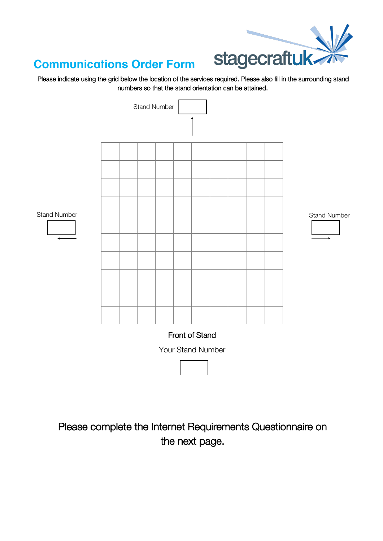

## **Communications Order Form**

Please indicate using the grid below the location of the services required. Please also fill in the surrounding stand numbers so that the stand orientation can be attained.



Please complete the Internet Requirements Questionnaire on the next page.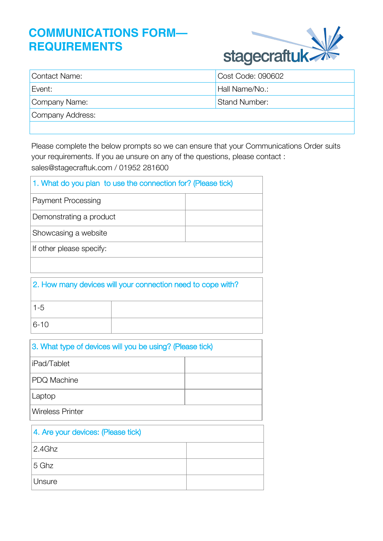## **COMMUNICATIONS FORM— REQUIREMENTS**



| Contact Name:    | Cost Code: 090602    |
|------------------|----------------------|
| Event:           | Hall Name/No.:       |
| Company Name:    | <b>Stand Number:</b> |
| Company Address: |                      |
|                  |                      |

Please complete the below prompts so we can ensure that your Communications Order suits your requirements. If you ae unsure on any of the questions, please contact : sales@stagecraftuk.com / 01952 281600

| 1. What do you plan to use the connection for? (Please tick) |  |
|--------------------------------------------------------------|--|
| <b>Payment Processing</b>                                    |  |
| Demonstrating a product                                      |  |
| Showcasing a website                                         |  |
| If other please specify:                                     |  |
|                                                              |  |

| 2. How many devices will your connection need to cope with? |  |
|-------------------------------------------------------------|--|
| $1 - 5$                                                     |  |
| $ 6 - 10 $                                                  |  |

| 3. What type of devices will you be using? (Please tick) |  |
|----------------------------------------------------------|--|
| liPad/Tablet                                             |  |
| PDQ Machine                                              |  |
| Laptop                                                   |  |
| Wireless Printer                                         |  |

| 4. Are your devices: (Please tick) |  |
|------------------------------------|--|
| 2.4Ghz                             |  |
| 5 Ghz                              |  |
| <b>Unsure</b>                      |  |